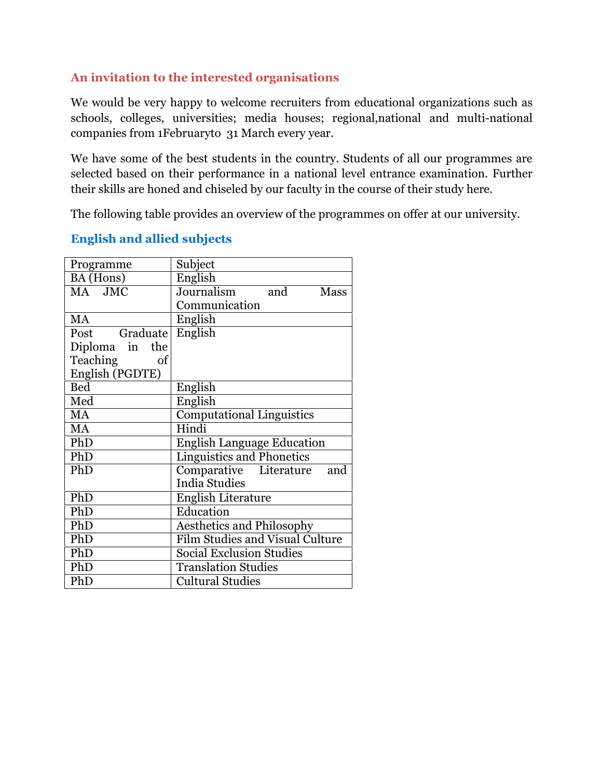## **An invitation to the interested organisations**

We would be very happy to welcome recruiters from educational organizations such as schools, colleges, universities; media houses; regional,national and multi-national companies from 1Februaryto 31 March every year.

We have some of the best students in the country. Students of all our programmes are selected based on their performance in a national level entrance examination. Further their skills are honed and chiseled by our faculty in the course of their study here.

The following table provides an overview of the programmes on offer at our university.

## **English and allied subjects**

| Programme       | Subject                                |
|-----------------|----------------------------------------|
| BA (Hons)       | English                                |
| MA JMC          | Journalism and<br><b>Mass</b>          |
|                 | Communication                          |
| <b>MA</b>       | English                                |
| Post Graduate   | English                                |
| Diploma in the  |                                        |
| Teaching<br>of  |                                        |
| English (PGDTE) |                                        |
| <b>Bed</b>      | English                                |
| Med             | English                                |
| MA              | <b>Computational Linguistics</b>       |
| MA              | Hindi                                  |
| PhD             | <b>English Language Education</b>      |
| PhD             | <b>Linguistics and Phonetics</b>       |
| PhD             | Comparative Literature<br>and          |
|                 | <b>India Studies</b>                   |
| PhD             | <b>English Literature</b>              |
| PhD             | Education                              |
| PhD             | <b>Aesthetics and Philosophy</b>       |
| PhD             | <b>Film Studies and Visual Culture</b> |
| PhD             | <b>Social Exclusion Studies</b>        |
| PhD             | <b>Translation Studies</b>             |
| PhD             | <b>Cultural Studies</b>                |